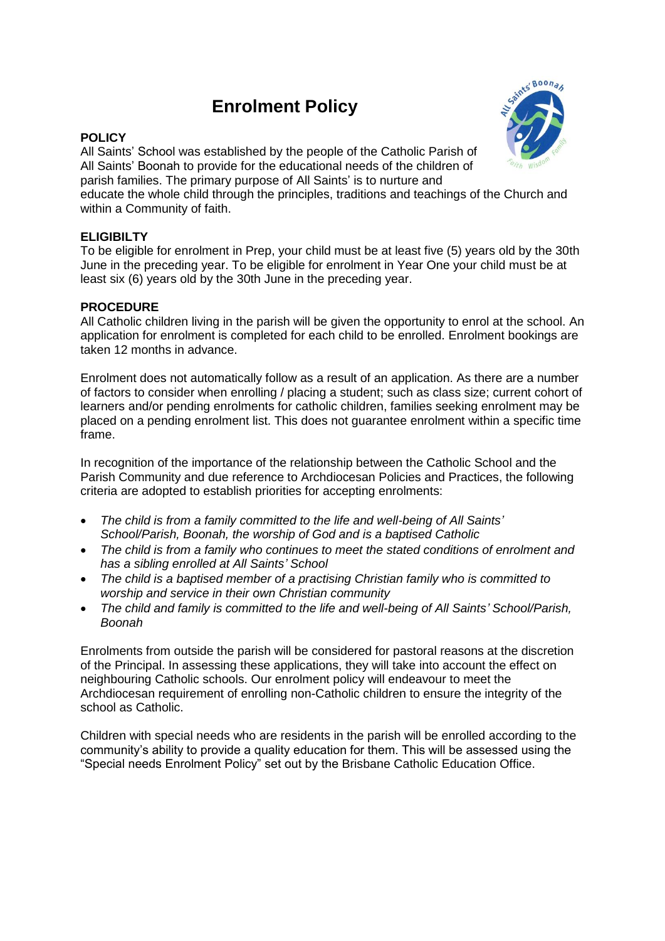# **Enrolment Policy**

### **POLICY**

All Saints' School was established by the people of the Catholic Parish of All Saints' Boonah to provide for the educational needs of the children of parish families. The primary purpose of All Saints' is to nurture and educate the whole child through the principles, traditions and teachings of the Church and within a Community of faith.

# **ELIGIBILTY**

To be eligible for enrolment in Prep, your child must be at least five (5) years old by the 30th June in the preceding year. To be eligible for enrolment in Year One your child must be at least six (6) years old by the 30th June in the preceding year.

# **PROCEDURE**

All Catholic children living in the parish will be given the opportunity to enrol at the school. An application for enrolment is completed for each child to be enrolled. Enrolment bookings are taken 12 months in advance.

Enrolment does not automatically follow as a result of an application. As there are a number of factors to consider when enrolling / placing a student; such as class size; current cohort of learners and/or pending enrolments for catholic children, families seeking enrolment may be placed on a pending enrolment list. This does not guarantee enrolment within a specific time frame.

In recognition of the importance of the relationship between the Catholic School and the Parish Community and due reference to Archdiocesan Policies and Practices, the following criteria are adopted to establish priorities for accepting enrolments:

- *The child is from a family committed to the life and well-being of All Saints' School/Parish, Boonah, the worship of God and is a baptised Catholic*
- *The child is from a family who continues to meet the stated conditions of enrolment and has a sibling enrolled at All Saints' School*
- *The child is a baptised member of a practising Christian family who is committed to worship and service in their own Christian community*
- *The child and family is committed to the life and well-being of All Saints' School/Parish, Boonah*

Enrolments from outside the parish will be considered for pastoral reasons at the discretion of the Principal. In assessing these applications, they will take into account the effect on neighbouring Catholic schools. Our enrolment policy will endeavour to meet the Archdiocesan requirement of enrolling non-Catholic children to ensure the integrity of the school as Catholic.

Children with special needs who are residents in the parish will be enrolled according to the community's ability to provide a quality education for them. This will be assessed using the "Special needs Enrolment Policy" set out by the Brisbane Catholic Education Office.